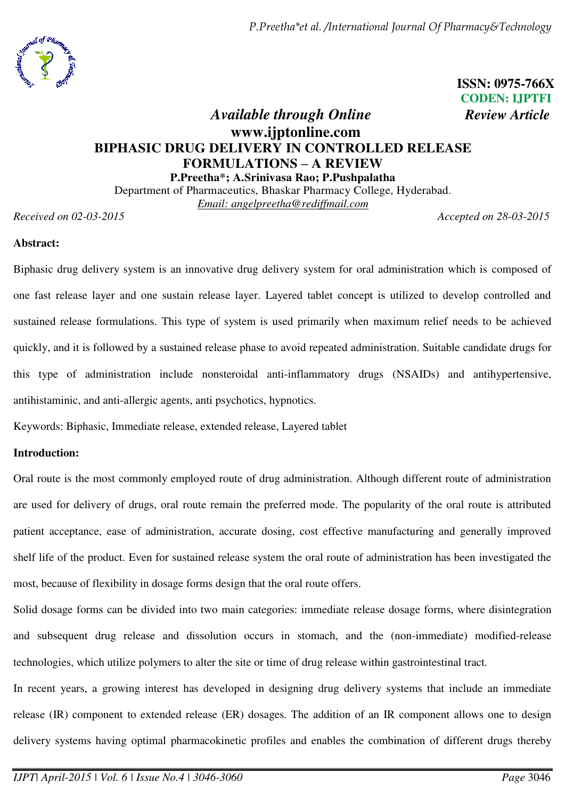

 **ISSN: 0975-766X CODEN: IJPTFI**

# *Available through Online Review Article*  **www.ijptonline.com BIPHASIC DRUG DELIVERY IN CONTROLLED RELEASE FORMULATIONS – A REVIEW P.Preetha\*; A.Srinivasa Rao; P.Pushpalatha**

Department of Pharmaceutics, Bhaskar Pharmacy College, Hyderabad. *Email: angelpreetha@rediffmail.com*

*Received on 02-03-2015 Accepted on 28-03-2015*

## **Abstract:**

Biphasic drug delivery system is an innovative drug delivery system for oral administration which is composed of one fast release layer and one sustain release layer. Layered tablet concept is utilized to develop controlled and sustained release formulations. This type of system is used primarily when maximum relief needs to be achieved quickly, and it is followed by a sustained release phase to avoid repeated administration. Suitable candidate drugs for this type of administration include nonsteroidal anti-inflammatory drugs (NSAIDs) and antihypertensive, antihistaminic, and anti-allergic agents, anti psychotics, hypnotics.

Keywords: Biphasic, Immediate release, extended release, Layered tablet

## **Introduction:**

Oral route is the most commonly employed route of drug administration. Although different route of administration are used for delivery of drugs, oral route remain the preferred mode. The popularity of the oral route is attributed patient acceptance, ease of administration, accurate dosing, cost effective manufacturing and generally improved shelf life of the product. Even for sustained release system the oral route of administration has been investigated the most, because of flexibility in dosage forms design that the oral route offers.

Solid dosage forms can be divided into two main categories: immediate release dosage forms, where disintegration and subsequent drug release and dissolution occurs in stomach, and the (non-immediate) modified-release technologies, which utilize polymers to alter the site or time of drug release within gastrointestinal tract.

In recent years, a growing interest has developed in designing drug delivery systems that include an immediate release (IR) component to extended release (ER) dosages. The addition of an IR component allows one to design delivery systems having optimal pharmacokinetic profiles and enables the combination of different drugs thereby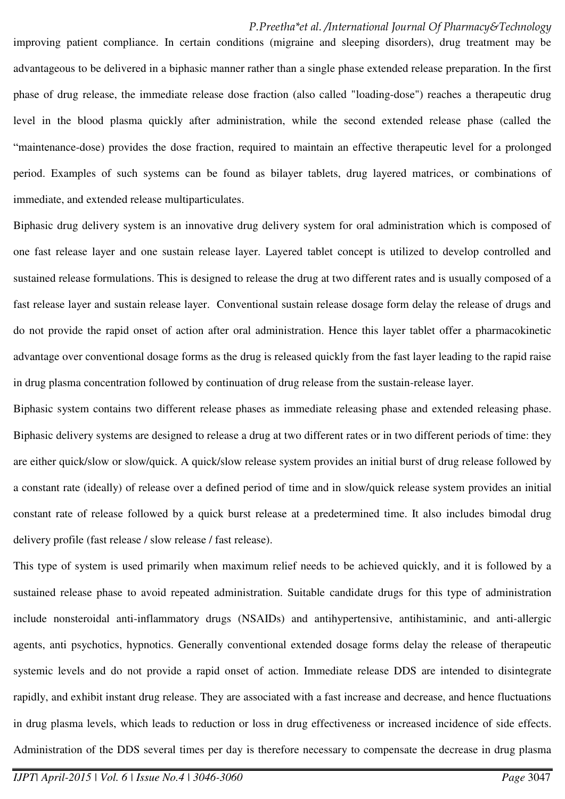improving patient compliance. In certain conditions (migraine and sleeping disorders), drug treatment may be advantageous to be delivered in a biphasic manner rather than a single phase extended release preparation. In the first phase of drug release, the immediate release dose fraction (also called "loading-dose") reaches a therapeutic drug level in the blood plasma quickly after administration, while the second extended release phase (called the "maintenance-dose) provides the dose fraction, required to maintain an effective therapeutic level for a prolonged period. Examples of such systems can be found as bilayer tablets, drug layered matrices, or combinations of immediate, and extended release multiparticulates.

Biphasic drug delivery system is an innovative drug delivery system for oral administration which is composed of one fast release layer and one sustain release layer. Layered tablet concept is utilized to develop controlled and sustained release formulations. This is designed to release the drug at two different rates and is usually composed of a fast release layer and sustain release layer. Conventional sustain release dosage form delay the release of drugs and do not provide the rapid onset of action after oral administration. Hence this layer tablet offer a pharmacokinetic advantage over conventional dosage forms as the drug is released quickly from the fast layer leading to the rapid raise in drug plasma concentration followed by continuation of drug release from the sustain-release layer.

Biphasic system contains two different release phases as immediate releasing phase and extended releasing phase. Biphasic delivery systems are designed to release a drug at two different rates or in two different periods of time: they are either quick/slow or slow/quick. A quick/slow release system provides an initial burst of drug release followed by a constant rate (ideally) of release over a defined period of time and in slow/quick release system provides an initial constant rate of release followed by a quick burst release at a predetermined time. It also includes bimodal drug delivery profile (fast release / slow release / fast release).

This type of system is used primarily when maximum relief needs to be achieved quickly, and it is followed by a sustained release phase to avoid repeated administration. Suitable candidate drugs for this type of administration include nonsteroidal anti-inflammatory drugs (NSAIDs) and antihypertensive, antihistaminic, and anti-allergic agents, anti psychotics, hypnotics. Generally conventional extended dosage forms delay the release of therapeutic systemic levels and do not provide a rapid onset of action. Immediate release DDS are intended to disintegrate rapidly, and exhibit instant drug release. They are associated with a fast increase and decrease, and hence fluctuations in drug plasma levels, which leads to reduction or loss in drug effectiveness or increased incidence of side effects. Administration of the DDS several times per day is therefore necessary to compensate the decrease in drug plasma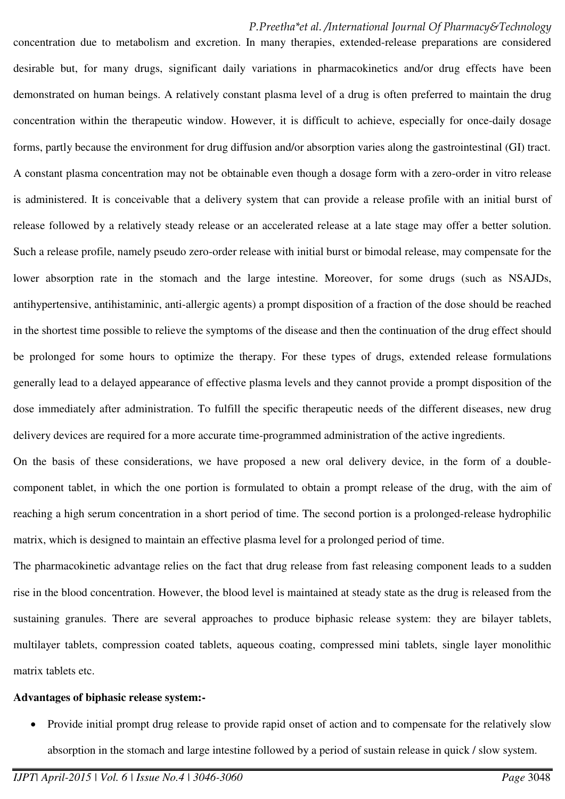concentration due to metabolism and excretion. In many therapies, extended-release preparations are considered desirable but, for many drugs, significant daily variations in pharmacokinetics and/or drug effects have been demonstrated on human beings. A relatively constant plasma level of a drug is often preferred to maintain the drug concentration within the therapeutic window. However, it is difficult to achieve, especially for once-daily dosage forms, partly because the environment for drug diffusion and/or absorption varies along the gastrointestinal (GI) tract. A constant plasma concentration may not be obtainable even though a dosage form with a zero-order in vitro release is administered. It is conceivable that a delivery system that can provide a release profile with an initial burst of release followed by a relatively steady release or an accelerated release at a late stage may offer a better solution. Such a release profile, namely pseudo zero-order release with initial burst or bimodal release, may compensate for the lower absorption rate in the stomach and the large intestine. Moreover, for some drugs (such as NSAJDs, antihypertensive, antihistaminic, anti-allergic agents) a prompt disposition of a fraction of the dose should be reached in the shortest time possible to relieve the symptoms of the disease and then the continuation of the drug effect should be prolonged for some hours to optimize the therapy. For these types of drugs, extended release formulations generally lead to a delayed appearance of effective plasma levels and they cannot provide a prompt disposition of the dose immediately after administration. To fulfill the specific therapeutic needs of the different diseases, new drug delivery devices are required for a more accurate time-programmed administration of the active ingredients.

On the basis of these considerations, we have proposed a new oral delivery device, in the form of a doublecomponent tablet, in which the one portion is formulated to obtain a prompt release of the drug, with the aim of reaching a high serum concentration in a short period of time. The second portion is a prolonged-release hydrophilic matrix, which is designed to maintain an effective plasma level for a prolonged period of time.

The pharmacokinetic advantage relies on the fact that drug release from fast releasing component leads to a sudden rise in the blood concentration. However, the blood level is maintained at steady state as the drug is released from the sustaining granules. There are several approaches to produce biphasic release system: they are bilayer tablets, multilayer tablets, compression coated tablets, aqueous coating, compressed mini tablets, single layer monolithic matrix tablets etc.

#### **Advantages of biphasic release system:-**

 Provide initial prompt drug release to provide rapid onset of action and to compensate for the relatively slow absorption in the stomach and large intestine followed by a period of sustain release in quick / slow system.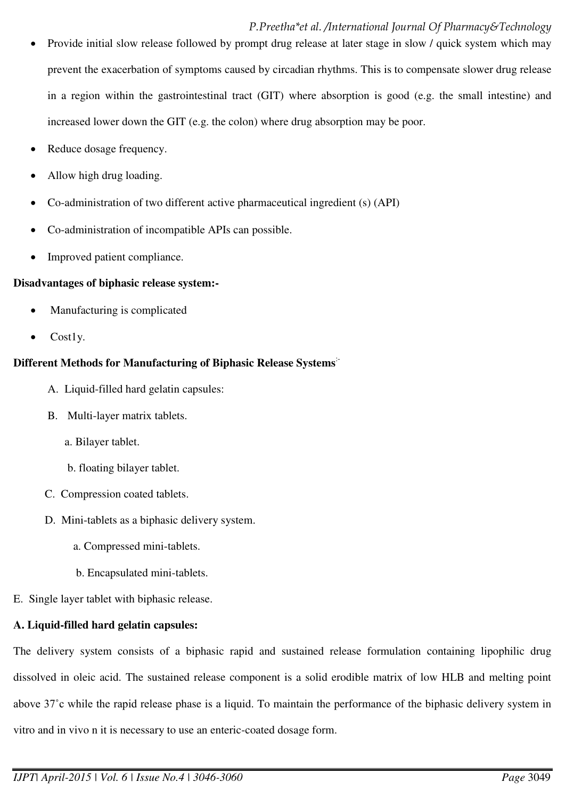- Provide initial slow release followed by prompt drug release at later stage in slow / quick system which may prevent the exacerbation of symptoms caused by circadian rhythms. This is to compensate slower drug release in a region within the gastrointestinal tract (GIT) where absorption is good (e.g. the small intestine) and increased lower down the GIT (e.g. the colon) where drug absorption may be poor.
- Reduce dosage frequency.
- Allow high drug loading.
- Co-administration of two different active pharmaceutical ingredient (s) (API)
- Co-administration of incompatible APIs can possible.
- Improved patient compliance.

## **Disadvantages of biphasic release system:-**

- Manufacturing is complicated
- Cost1y.

## **Different Methods for Manufacturing of Biphasic Release Systems**:-

- A. Liquid-filled hard gelatin capsules:
- B. Multi-layer matrix tablets.
	- a. Bilayer tablet.
	- b. floating bilayer tablet.
- C. Compression coated tablets.
- D. Mini-tablets as a biphasic delivery system.
	- a. Compressed mini-tablets.
	- b. Encapsulated mini-tablets.
- E. Single layer tablet with biphasic release.

## **A. Liquid-filled hard gelatin capsules:**

The delivery system consists of a biphasic rapid and sustained release formulation containing lipophilic drug dissolved in oleic acid. The sustained release component is a solid erodible matrix of low HLB and melting point above 37˚c while the rapid release phase is a liquid. To maintain the performance of the biphasic delivery system in vitro and in vivo n it is necessary to use an enteric-coated dosage form.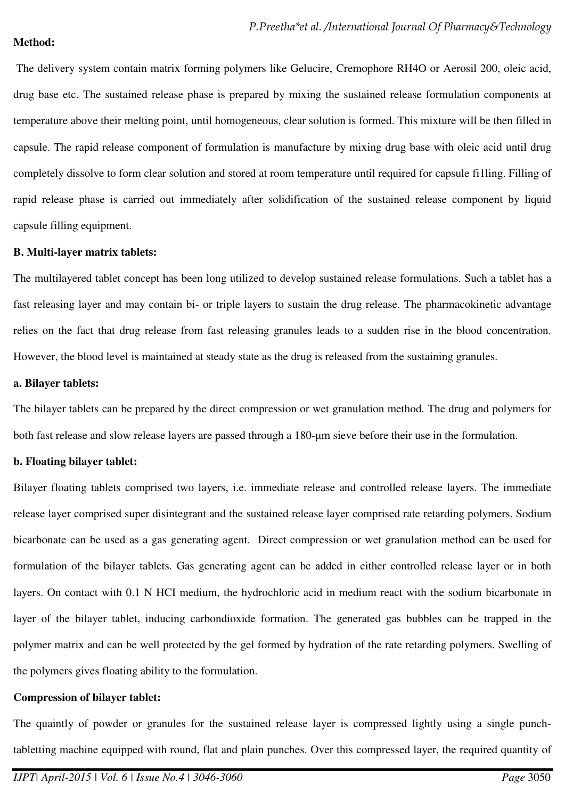#### **Method:**

 The delivery system contain matrix forming polymers like Gelucire, Cremophore RH4O or Aerosil 200, oleic acid, drug base etc. The sustained release phase is prepared by mixing the sustained release formulation components at temperature above their melting point, until homogeneous, clear solution is formed. This mixture will be then filled in capsule. The rapid release component of formulation is manufacture by mixing drug base with oleic acid until drug completely dissolve to form clear solution and stored at room temperature until required for capsule fi1ling. Filling of rapid release phase is carried out immediately after solidification of the sustained release component by liquid capsule filling equipment.

#### **B. Multi-layer matrix tablets:**

The multilayered tablet concept has been long utilized to develop sustained release formulations. Such a tablet has a fast releasing layer and may contain bi- or triple layers to sustain the drug release. The pharmacokinetic advantage relies on the fact that drug release from fast releasing granules leads to a sudden rise in the blood concentration. However, the blood level is maintained at steady state as the drug is released from the sustaining granules.

#### **a. Bilayer tablets:**

The bilayer tablets can be prepared by the direct compression or wet granulation method. The drug and polymers for both fast release and slow release layers are passed through a 180-μm sieve before their use in the formulation.

## **b. Floating bilayer tablet:**

Bilayer floating tablets comprised two layers, i.e. immediate release and controlled release layers. The immediate release layer comprised super disintegrant and the sustained release layer comprised rate retarding polymers. Sodium bicarbonate can be used as a gas generating agent. Direct compression or wet granulation method can be used for formulation of the bilayer tablets. Gas generating agent can be added in either controlled release layer or in both layers. On contact with 0.1 N HCI medium, the hydrochloric acid in medium react with the sodium bicarbonate in layer of the bilayer tablet, inducing carbondioxide formation. The generated gas bubbles can be trapped in the polymer matrix and can be well protected by the gel formed by hydration of the rate retarding polymers. Swelling of the polymers gives floating ability to the formulation.

## **Compression of bilayer tablet:**

The quaintly of powder or granules for the sustained release layer is compressed lightly using a single punchtabletting machine equipped with round, flat and plain punches. Over this compressed layer, the required quantity of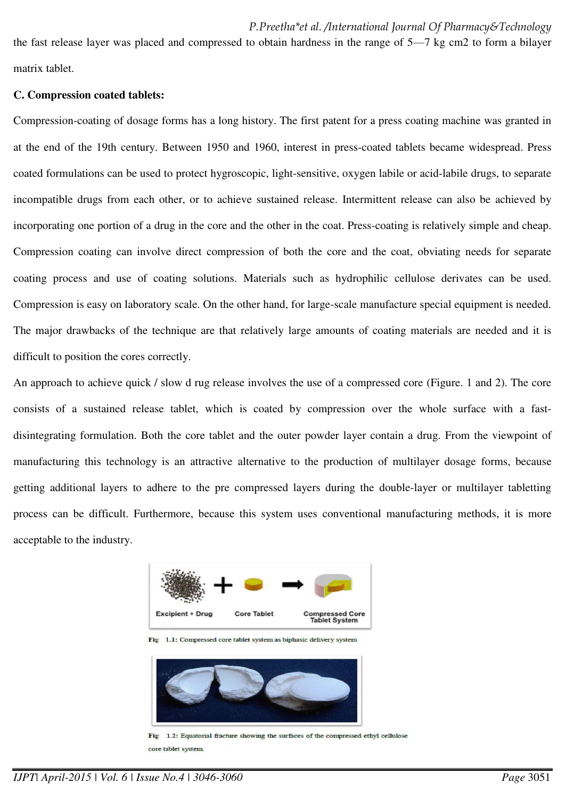the fast release layer was placed and compressed to obtain hardness in the range of 5—7 kg cm2 to form a bilayer matrix tablet.

#### **C. Compression coated tablets:**

Compression-coating of dosage forms has a long history. The first patent for a press coating machine was granted in at the end of the 19th century. Between 1950 and 1960, interest in press-coated tablets became widespread. Press coated formulations can be used to protect hygroscopic, light-sensitive, oxygen labile or acid-labile drugs, to separate incompatible drugs from each other, or to achieve sustained release. Intermittent release can also be achieved by incorporating one portion of a drug in the core and the other in the coat. Press-coating is relatively simple and cheap. Compression coating can involve direct compression of both the core and the coat, obviating needs for separate coating process and use of coating solutions. Materials such as hydrophilic cellulose derivates can be used. Compression is easy on laboratory scale. On the other hand, for large-scale manufacture special equipment is needed. The major drawbacks of the technique are that relatively large amounts of coating materials are needed and it is difficult to position the cores correctly.

An approach to achieve quick / slow d rug release involves the use of a compressed core (Figure. 1 and 2). The core consists of a sustained release tablet, which is coated by compression over the whole surface with a fastdisintegrating formulation. Both the core tablet and the outer powder layer contain a drug. From the viewpoint of manufacturing this technology is an attractive alternative to the production of multilayer dosage forms, because getting additional layers to adhere to the pre compressed layers during the double-layer or multilayer tabletting process can be difficult. Furthermore, because this system uses conventional manufacturing methods, it is more acceptable to the industry.



1.1: Compressed core tablet system as biphasic delivery system



1.2: Equatorial fracture showing the surfaces of the compressed ethyl cellulose Fig core tablet system.

*IJPT| April-2015 | Vol. 6 | Issue No.4 | 3046-3060 Page* 3051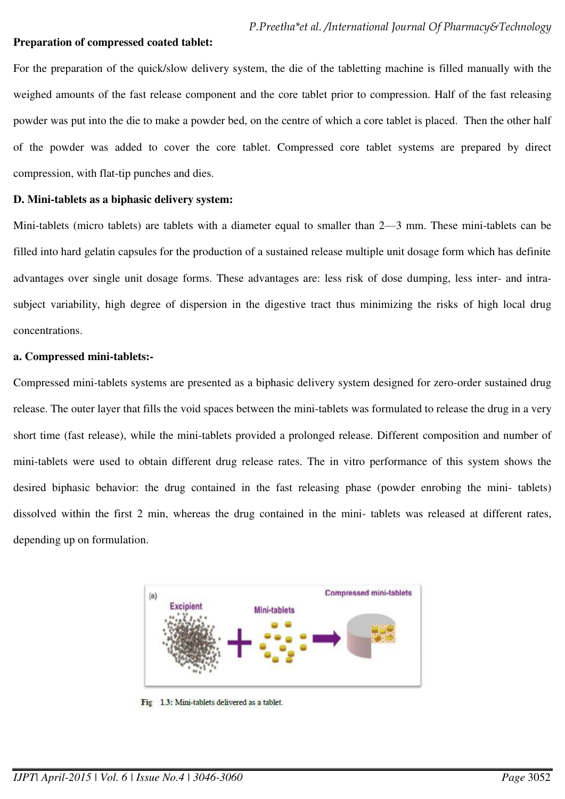#### **Preparation of compressed coated tablet:**

For the preparation of the quick/slow delivery system, the die of the tabletting machine is filled manually with the weighed amounts of the fast release component and the core tablet prior to compression. Half of the fast releasing powder was put into the die to make a powder bed, on the centre of which a core tablet is placed. Then the other half of the powder was added to cover the core tablet. Compressed core tablet systems are prepared by direct compression, with flat-tip punches and dies.

#### **D. Mini-tablets as a biphasic delivery system:**

Mini-tablets (micro tablets) are tablets with a diameter equal to smaller than 2—3 mm. These mini-tablets can be filled into hard gelatin capsules for the production of a sustained release multiple unit dosage form which has definite advantages over single unit dosage forms. These advantages are: less risk of dose dumping, less inter- and intrasubject variability, high degree of dispersion in the digestive tract thus minimizing the risks of high local drug concentrations.

#### **a. Compressed mini-tablets:-**

Compressed mini-tablets systems are presented as a biphasic delivery system designed for zero-order sustained drug release. The outer layer that fills the void spaces between the mini-tablets was formulated to release the drug in a very short time (fast release), while the mini-tablets provided a prolonged release. Different composition and number of mini-tablets were used to obtain different drug release rates. The in vitro performance of this system shows the desired biphasic behavior: the drug contained in the fast releasing phase (powder enrobing the mini- tablets) dissolved within the first 2 min, whereas the drug contained in the mini- tablets was released at different rates, depending up on formulation.



Fig 1.3: Mini-tablets delivered as a tablet.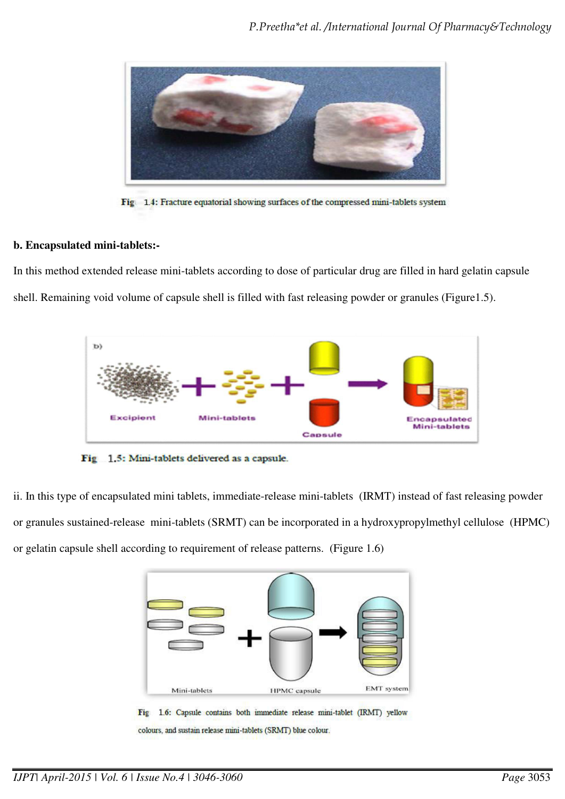

Fig. 1.4: Fracture equatorial showing surfaces of the compressed mini-tablets system

#### **b. Encapsulated mini-tablets:-**

In this method extended release mini-tablets according to dose of particular drug are filled in hard gelatin capsule shell. Remaining void volume of capsule shell is filled with fast releasing powder or granules (Figure1.5).



Fig. 1.5: Mini-tablets delivered as a capsule.

ii. In this type of encapsulated mini tablets, immediate-release mini-tablets (IRMT) instead of fast releasing powder or granules sustained-release mini-tablets (SRMT) can be incorporated in a hydroxypropylmethyl cellulose (HPMC) or gelatin capsule shell according to requirement of release patterns. (Figure 1.6)

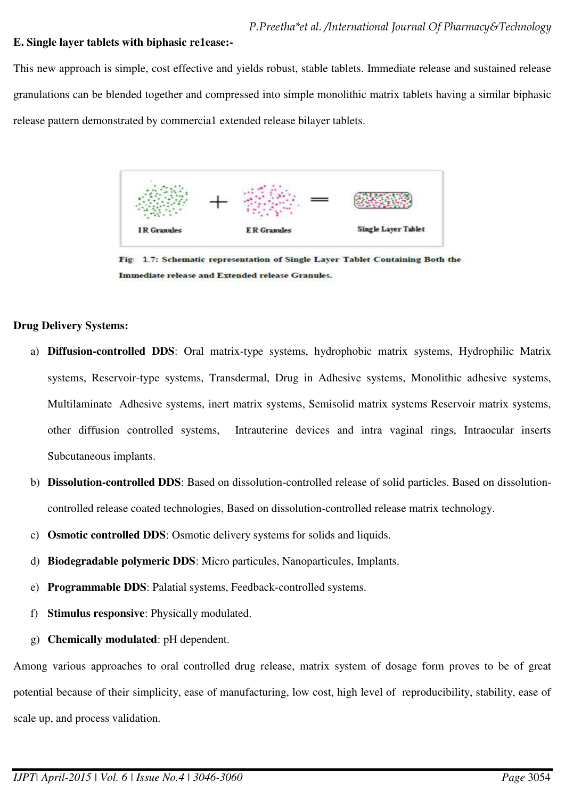## **E. Single layer tablets with biphasic re1ease:-**

This new approach is simple, cost effective and yields robust, stable tablets. Immediate release and sustained release granulations can be blended together and compressed into simple monolithic matrix tablets having a similar biphasic release pattern demonstrated by commercia1 extended release bilayer tablets.



**Immediate release and Extended release Granules.** 

#### **Drug Delivery Systems:**

- a) **Diffusion-controlled DDS**: Oral matrix-type systems, hydrophobic matrix systems, Hydrophilic Matrix systems, Reservoir-type systems, Transdermal, Drug in Adhesive systems, Monolithic adhesive systems, Multilaminate Adhesive systems, inert matrix systems, Semisolid matrix systems Reservoir matrix systems, other diffusion controlled systems, Intrauterine devices and intra vaginal rings, Intraocular inserts Subcutaneous implants.
- b) **Dissolution-controlled DDS**: Based on dissolution-controlled release of solid particles. Based on dissolutioncontrolled release coated technologies, Based on dissolution-controlled release matrix technology.
- c) **Osmotic controlled DDS**: Osmotic delivery systems for solids and liquids.
- d) **Biodegradable polymeric DDS**: Micro particules, Nanoparticules, Implants.
- e) **Programmable DDS**: Palatial systems, Feedback-controlled systems.
- f) **Stimulus responsive**: Physically modulated.
- g) **Chemically modulated**: pH dependent.

Among various approaches to oral controlled drug release, matrix system of dosage form proves to be of great potential because of their simplicity, ease of manufacturing, low cost, high level of reproducibility, stability, ease of scale up, and process validation.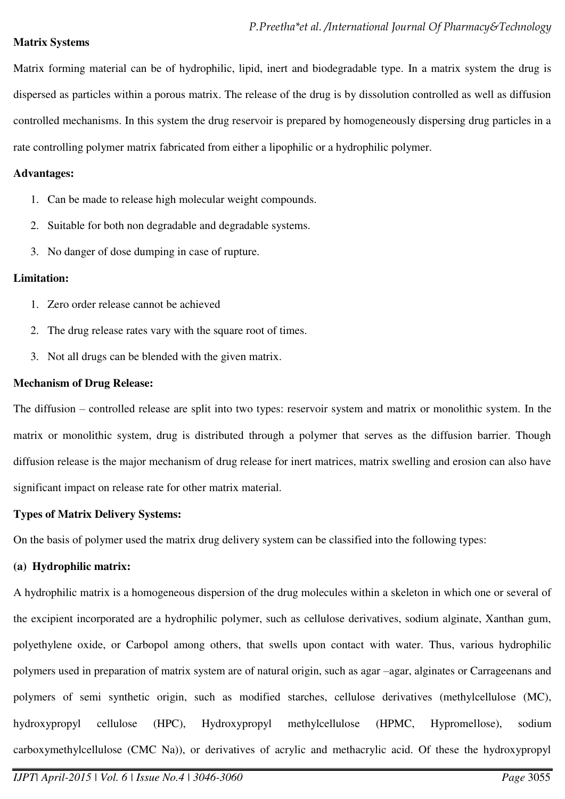#### **Matrix Systems**

Matrix forming material can be of hydrophilic, lipid, inert and biodegradable type. In a matrix system the drug is dispersed as particles within a porous matrix. The release of the drug is by dissolution controlled as well as diffusion controlled mechanisms. In this system the drug reservoir is prepared by homogeneously dispersing drug particles in a rate controlling polymer matrix fabricated from either a lipophilic or a hydrophilic polymer.

#### **Advantages:**

- 1. Can be made to release high molecular weight compounds.
- 2. Suitable for both non degradable and degradable systems.
- 3. No danger of dose dumping in case of rupture.

## **Limitation:**

- 1. Zero order release cannot be achieved
- 2. The drug release rates vary with the square root of times.
- 3. Not all drugs can be blended with the given matrix.

## **Mechanism of Drug Release:**

The diffusion – controlled release are split into two types: reservoir system and matrix or monolithic system. In the matrix or monolithic system, drug is distributed through a polymer that serves as the diffusion barrier. Though diffusion release is the major mechanism of drug release for inert matrices, matrix swelling and erosion can also have significant impact on release rate for other matrix material.

## **Types of Matrix Delivery Systems:**

On the basis of polymer used the matrix drug delivery system can be classified into the following types:

# **(a) Hydrophilic matrix:**

A hydrophilic matrix is a homogeneous dispersion of the drug molecules within a skeleton in which one or several of the excipient incorporated are a hydrophilic polymer, such as cellulose derivatives, sodium alginate, Xanthan gum, polyethylene oxide, or Carbopol among others, that swells upon contact with water. Thus, various hydrophilic polymers used in preparation of matrix system are of natural origin, such as agar –agar, alginates or Carrageenans and polymers of semi synthetic origin, such as modified starches, cellulose derivatives (methylcellulose (MC), hydroxypropyl cellulose (HPC), Hydroxypropyl methylcellulose (HPMC, Hypromellose), sodium carboxymethylcellulose (CMC Na)), or derivatives of acrylic and methacrylic acid. Of these the hydroxypropyl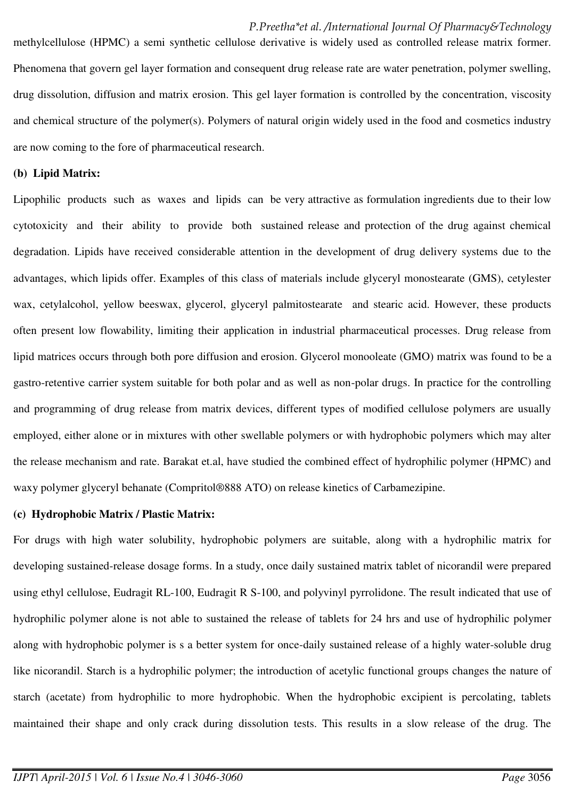methylcellulose (HPMC) a semi synthetic cellulose derivative is widely used as controlled release matrix former. Phenomena that govern gel layer formation and consequent drug release rate are water penetration, polymer swelling, drug dissolution, diffusion and matrix erosion. This gel layer formation is controlled by the concentration, viscosity and chemical structure of the polymer(s). Polymers of natural origin widely used in the food and cosmetics industry are now coming to the fore of pharmaceutical research.

#### **(b) Lipid Matrix:**

Lipophilic products such as waxes and lipids can be very attractive as formulation ingredients due to their low cytotoxicity and their ability to provide both sustained release and protection of the drug against chemical degradation. Lipids have received considerable attention in the development of drug delivery systems due to the advantages, which lipids offer. Examples of this class of materials include glyceryl monostearate (GMS), cetylester wax, cetylalcohol, yellow beeswax, glycerol, glyceryl palmitostearate and stearic acid. However, these products often present low flowability, limiting their application in industrial pharmaceutical processes. Drug release from lipid matrices occurs through both pore diffusion and erosion. Glycerol monooleate (GMO) matrix was found to be a gastro-retentive carrier system suitable for both polar and as well as non-polar drugs. In practice for the controlling and programming of drug release from matrix devices, different types of modified cellulose polymers are usually employed, either alone or in mixtures with other swellable polymers or with hydrophobic polymers which may alter the release mechanism and rate. Barakat et.al, have studied the combined effect of hydrophilic polymer (HPMC) and waxy polymer glyceryl behanate (Compritol®888 ATO) on release kinetics of Carbamezipine.

#### **(c) Hydrophobic Matrix / Plastic Matrix:**

For drugs with high water solubility, hydrophobic polymers are suitable, along with a hydrophilic matrix for developing sustained-release dosage forms. In a study, once daily sustained matrix tablet of nicorandil were prepared using ethyl cellulose, Eudragit RL-100, Eudragit R S-100, and polyvinyl pyrrolidone. The result indicated that use of hydrophilic polymer alone is not able to sustained the release of tablets for 24 hrs and use of hydrophilic polymer along with hydrophobic polymer is s a better system for once-daily sustained release of a highly water-soluble drug like nicorandil. Starch is a hydrophilic polymer; the introduction of acetylic functional groups changes the nature of starch (acetate) from hydrophilic to more hydrophobic. When the hydrophobic excipient is percolating, tablets maintained their shape and only crack during dissolution tests. This results in a slow release of the drug. The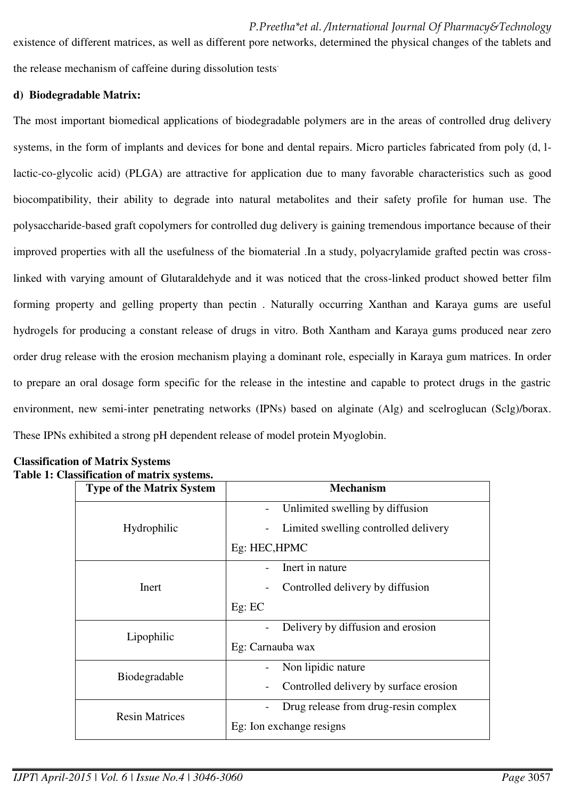existence of different matrices, as well as different pore networks, determined the physical changes of the tablets and the release mechanism of caffeine during dissolution tests.

#### **d) Biodegradable Matrix:**

The most important biomedical applications of biodegradable polymers are in the areas of controlled drug delivery systems, in the form of implants and devices for bone and dental repairs. Micro particles fabricated from poly (d, llactic-co-glycolic acid) (PLGA) are attractive for application due to many favorable characteristics such as good biocompatibility, their ability to degrade into natural metabolites and their safety profile for human use. The polysaccharide-based graft copolymers for controlled dug delivery is gaining tremendous importance because of their improved properties with all the usefulness of the biomaterial .In a study, polyacrylamide grafted pectin was crosslinked with varying amount of Glutaraldehyde and it was noticed that the cross-linked product showed better film forming property and gelling property than pectin . Naturally occurring Xanthan and Karaya gums are useful hydrogels for producing a constant release of drugs in vitro. Both Xantham and Karaya gums produced near zero order drug release with the erosion mechanism playing a dominant role, especially in Karaya gum matrices. In order to prepare an oral dosage form specific for the release in the intestine and capable to protect drugs in the gastric environment, new semi-inter penetrating networks (IPNs) based on alginate (Alg) and scelroglucan (Sclg)/borax. These IPNs exhibited a strong pH dependent release of model protein Myoglobin.

| <b>Type of the Matrix System</b> | <b>Mechanism</b>                                                        |  |
|----------------------------------|-------------------------------------------------------------------------|--|
| Hydrophilic                      | Unlimited swelling by diffusion<br>Limited swelling controlled delivery |  |
|                                  | Eg: HEC, HPMC                                                           |  |
| Inert                            | Inert in nature                                                         |  |
|                                  | Controlled delivery by diffusion                                        |  |
|                                  | Eg: EC                                                                  |  |
| Lipophilic                       | Delivery by diffusion and erosion                                       |  |
|                                  | Eg: Carnauba wax                                                        |  |
| Biodegradable                    | Non lipidic nature                                                      |  |
|                                  | Controlled delivery by surface erosion                                  |  |
| <b>Resin Matrices</b>            | Drug release from drug-resin complex                                    |  |
|                                  | Eg: Ion exchange resigns                                                |  |

#### **Classification of Matrix Systems Table 1: Classification of matrix systems.**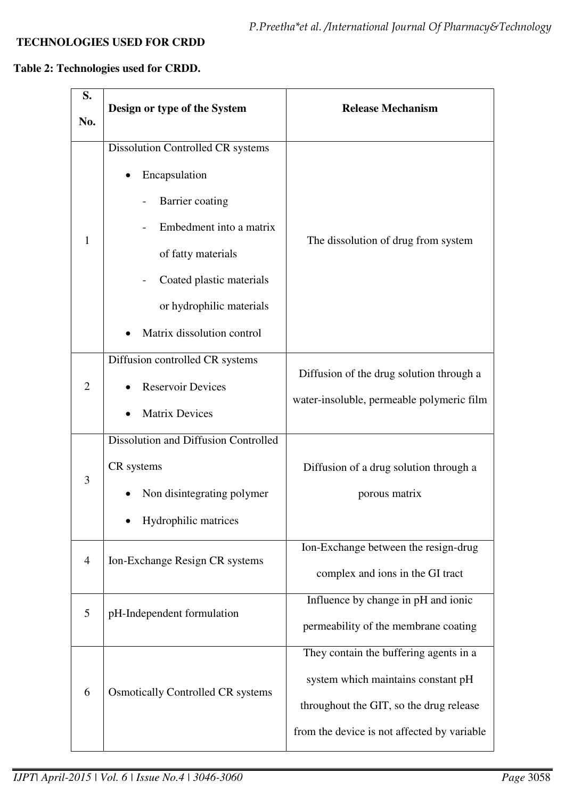# **TECHNOLOGIES USED FOR CRDD**

# **Table 2: Technologies used for CRDD.**

| S.             |                                                                                                                                                                                                              | <b>Release Mechanism</b>                                                                                                                                               |
|----------------|--------------------------------------------------------------------------------------------------------------------------------------------------------------------------------------------------------------|------------------------------------------------------------------------------------------------------------------------------------------------------------------------|
| No.            | Design or type of the System                                                                                                                                                                                 |                                                                                                                                                                        |
| $\mathbf{1}$   | Dissolution Controlled CR systems<br>Encapsulation<br>Barrier coating<br>Embedment into a matrix<br>of fatty materials<br>Coated plastic materials<br>or hydrophilic materials<br>Matrix dissolution control | The dissolution of drug from system                                                                                                                                    |
| 2              | Diffusion controlled CR systems<br><b>Reservoir Devices</b><br><b>Matrix Devices</b>                                                                                                                         | Diffusion of the drug solution through a<br>water-insoluble, permeable polymeric film                                                                                  |
| 3              | Dissolution and Diffusion Controlled<br>CR systems<br>Non disintegrating polymer<br>Hydrophilic matrices                                                                                                     | Diffusion of a drug solution through a<br>porous matrix                                                                                                                |
| $\overline{4}$ | Ion-Exchange Resign CR systems                                                                                                                                                                               | Ion-Exchange between the resign-drug<br>complex and ions in the GI tract                                                                                               |
| 5              | pH-Independent formulation                                                                                                                                                                                   | Influence by change in pH and ionic<br>permeability of the membrane coating                                                                                            |
| 6              | <b>Osmotically Controlled CR systems</b>                                                                                                                                                                     | They contain the buffering agents in a<br>system which maintains constant pH<br>throughout the GIT, so the drug release<br>from the device is not affected by variable |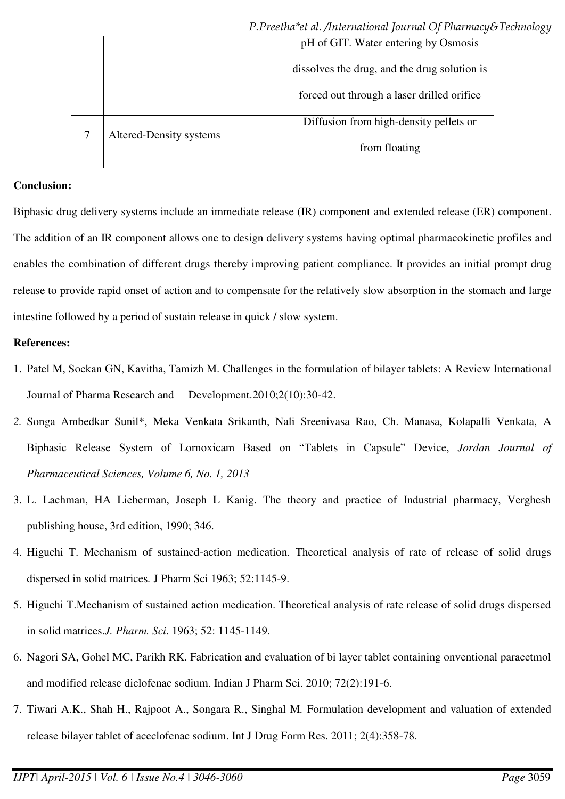|                         | pH of GIT. Water entering by Osmosis         |
|-------------------------|----------------------------------------------|
|                         | dissolves the drug, and the drug solution is |
|                         | forced out through a laser drilled orifice   |
| Altered-Density systems | Diffusion from high-density pellets or       |
|                         | from floating                                |
|                         |                                              |

# **Conclusion:**

Biphasic drug delivery systems include an immediate release (IR) component and extended release (ER) component. The addition of an IR component allows one to design delivery systems having optimal pharmacokinetic profiles and enables the combination of different drugs thereby improving patient compliance. It provides an initial prompt drug release to provide rapid onset of action and to compensate for the relatively slow absorption in the stomach and large intestine followed by a period of sustain release in quick / slow system.

# **References:**

- 1. Patel M, Sockan GN, Kavitha, Tamizh M. Challenges in the formulation of bilayer tablets: A Review International Journal of Pharma Research and Development.2010;2(10):30-42.
- *2.* Songa Ambedkar Sunil\*, Meka Venkata Srikanth, Nali Sreenivasa Rao, Ch. Manasa, Kolapalli Venkata, A Biphasic Release System of Lornoxicam Based on "Tablets in Capsule" Device, *Jordan Journal of Pharmaceutical Sciences, Volume 6, No. 1, 2013*
- 3. L. Lachman, HA Lieberman, Joseph L Kanig. The theory and practice of Industrial pharmacy, Verghesh publishing house, 3rd edition, 1990; 346.
- 4. Higuchi T. Mechanism of sustained-action medication. Theoretical analysis of rate of release of solid drugs dispersed in solid matrices*.* J Pharm Sci 1963; 52:1145-9.
- 5. Higuchi T.Mechanism of sustained action medication. Theoretical analysis of rate release of solid drugs dispersed in solid matrices.*J. Pharm. Sci*. 1963; 52: 1145-1149.
- 6. Nagori SA, Gohel MC, Parikh RK. Fabrication and evaluation of bi layer tablet containing onventional paracetmol and modified release diclofenac sodium. Indian J Pharm Sci. 2010; 72(2):191-6.
- 7. Tiwari A.K., Shah H., Rajpoot A., Songara R., Singhal M*.* Formulation development and valuation of extended release bilayer tablet of aceclofenac sodium. Int J Drug Form Res. 2011; 2(4):358-78.